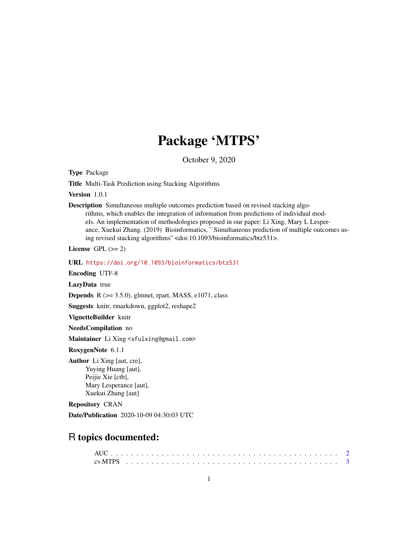# Package 'MTPS'

October 9, 2020

Type Package

Title Multi-Task Prediction using Stacking Algorithms

Version 1.0.1

Description Simultaneous multiple outcomes prediction based on revised stacking algorithms, which enables the integration of information from predictions of individual models. An implementation of methodologies proposed in our paper: Li Xing, Mary L Lesperance, Xuekui Zhang. (2019) Bioinformatics, ``Simultaneous prediction of multiple outcomes using revised stacking algorithms'' <doi:10.1093/bioinformatics/btz531>.

License GPL  $(>= 2)$ 

URL <https://doi.org/10.1093/bioinformatics/btz531>

Encoding UTF-8

LazyData true

**Depends** R  $(>= 3.5.0)$ , glmnet, rpart, MASS, e1071, class

Suggests knitr, rmarkdown, ggplot2, reshape2

VignetteBuilder knitr

NeedsCompilation no

Maintainer Li Xing <sfulxing@gmail.com>

RoxygenNote 6.1.1

Author Li Xing [aut, cre], Yuying Huang [aut], Peijie Xie [ctb], Mary Lesperance [aut], Xuekui Zhang [aut]

Repository CRAN

Date/Publication 2020-10-09 04:30:03 UTC

## R topics documented: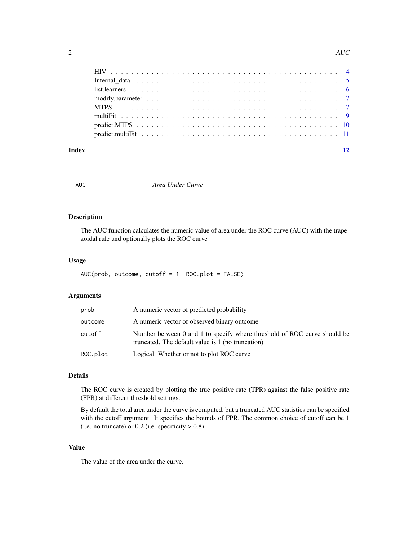<span id="page-1-0"></span>

| Index | 12 |
|-------|----|

AUC *Area Under Curve*

#### Description

The AUC function calculates the numeric value of area under the ROC curve (AUC) with the trapezoidal rule and optionally plots the ROC curve

#### Usage

```
AUC(prob, outcome, cutoff = 1, ROC.plot = FALSE)
```
#### Arguments

| prob     | A numeric vector of predicted probability                                                                                     |
|----------|-------------------------------------------------------------------------------------------------------------------------------|
| outcome  | A numeric vector of observed binary outcome                                                                                   |
| cutoff   | Number between 0 and 1 to specify where threshold of ROC curve should be<br>truncated. The default value is 1 (no truncation) |
| ROC.plot | Logical. Whether or not to plot ROC curve                                                                                     |

### Details

The ROC curve is created by plotting the true positive rate (TPR) against the false positive rate (FPR) at different threshold settings.

By default the total area under the curve is computed, but a truncated AUC statistics can be specified with the cutoff argument. It specifies the bounds of FPR. The common choice of cutoff can be 1 (i.e. no truncate) or  $0.2$  (i.e. specificity  $> 0.8$ )

#### Value

The value of the area under the curve.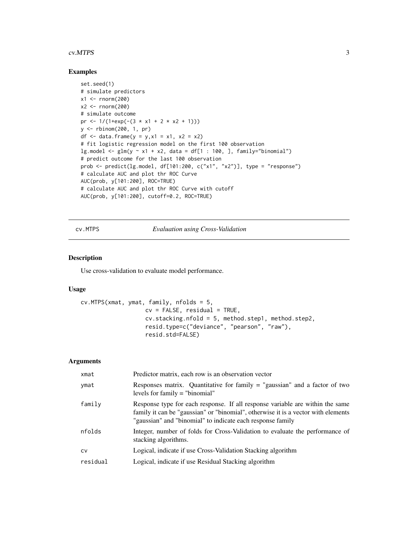#### <span id="page-2-0"></span>cv.MTPS 3

#### Examples

```
set.seed(1)
# simulate predictors
x1 < - rnorm(200)
x2 < - rnorm(200)
# simulate outcome
pr <- 1/(1+exp(-(3 \times x1 + 2 \times x2 + 1)))y <- rbinom(200, 1, pr)
df <- data.frame(y = y, x1 = x1, x2 = x2)
# fit logistic regression model on the first 100 observation
lg.model <- glm(y \sim x1 + x2, data = df[1 : 100, ], family="binomial")# predict outcome for the last 100 observation
prob <- predict(lg.model, df[101:200, c("x1", "x2")], type = "response")
# calculate AUC and plot thr ROC Curve
AUC(prob, y[101:200], ROC=TRUE)
# calculate AUC and plot thr ROC Curve with cutoff
AUC(prob, y[101:200], cutoff=0.2, ROC=TRUE)
```
cv.MTPS *Evaluation using Cross-Validation*

#### Description

Use cross-validation to evaluate model performance.

#### Usage

```
cv.MTPS(xmat, ymat, family, nfolds = 5,
                   cv = FALSE, residual = TRUE,cv.stacking.nfold = 5, method.step1, method.step2,
                   resid.type=c("deviance", "pearson", "raw"),
                   resid.std=FALSE)
```
#### Arguments

| xmat      | Predictor matrix, each row is an observation vector                                                                                                                                                                              |
|-----------|----------------------------------------------------------------------------------------------------------------------------------------------------------------------------------------------------------------------------------|
| ymat      | Responses matrix. Quantitative for family $=$ "gaussian" and a factor of two<br>levels for family = "binomial"                                                                                                                   |
| family    | Response type for each response. If all response variable are within the same<br>family it can be "gaussian" or "binomial", otherwise it is a vector with elements<br>"gaussian" and "binomial" to indicate each response family |
| nfolds    | Integer, number of folds for Cross-Validation to evaluate the performance of<br>stacking algorithms.                                                                                                                             |
| <b>CV</b> | Logical, indicate if use Cross-Validation Stacking algorithm                                                                                                                                                                     |
| residual  | Logical, indicate if use Residual Stacking algorithm                                                                                                                                                                             |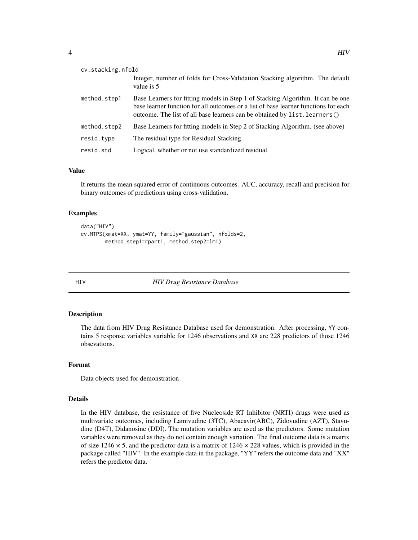<span id="page-3-0"></span>

| cv.stacking.nfold |                                                                                                                                                                                                                                                      |  |  |  |  |
|-------------------|------------------------------------------------------------------------------------------------------------------------------------------------------------------------------------------------------------------------------------------------------|--|--|--|--|
|                   | Integer, number of folds for Cross-Validation Stacking algorithm. The default<br>value is 5                                                                                                                                                          |  |  |  |  |
| method.step1      | Base Learners for fitting models in Step 1 of Stacking Algorithm. It can be one<br>base learner function for all outcomes or a list of base learner functions for each<br>outcome. The list of all base learners can be obtained by list. learners() |  |  |  |  |
| method.step2      | Base Learners for fitting models in Step 2 of Stacking Algorithm. (see above)                                                                                                                                                                        |  |  |  |  |
| resid.type        | The residual type for Residual Stacking                                                                                                                                                                                                              |  |  |  |  |
| resid.std         | Logical, whether or not use standardized residual                                                                                                                                                                                                    |  |  |  |  |

#### Value

It returns the mean squared error of continuous outcomes. AUC, accuracy, recall and precision for binary outcomes of predictions using cross-validation.

#### Examples

```
data("HIV")
cv.MTPS(xmat=XX, ymat=YY, family="gaussian", nfolds=2,
        method.step1=rpart1, method.step2=lm1)
```
HIV *HIV Drug Resistance Database*

#### Description

The data from HIV Drug Resistance Database used for demonstration. After processing, YY contains 5 response variables variable for 1246 observations and XX are 228 predictors of those 1246 obsevations.

#### Format

Data objects used for demonstration

#### Details

In the HIV database, the resistance of five Nucleoside RT Inhibitor (NRTI) drugs were used as multivariate outcomes, including Lamivudine (3TC), Abacavir(ABC), Zidovudine (AZT), Stavudine (D4T), Didanosine (DDI). The mutation variables are used as the predictors. Some mutation variables were removed as they do not contain enough variation. The final outcome data is a matrix of size  $1246 \times 5$ , and the predictor data is a matrix of  $1246 \times 228$  values, which is provided in the package called "HIV". In the example data in the package, "YY" refers the outcome data and "XX" refers the predictor data.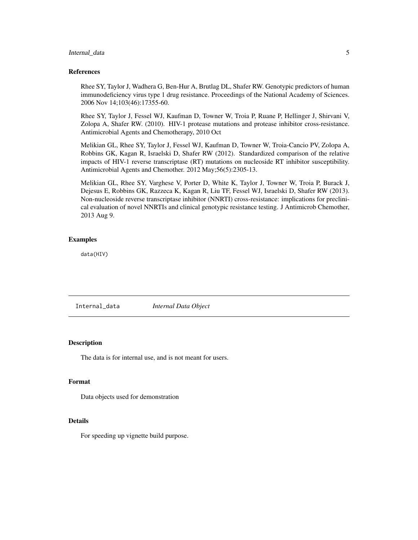#### <span id="page-4-0"></span>Internal\_data 5

#### References

Rhee SY, Taylor J, Wadhera G, Ben-Hur A, Brutlag DL, Shafer RW. Genotypic predictors of human immunodeficiency virus type 1 drug resistance. Proceedings of the National Academy of Sciences. 2006 Nov 14;103(46):17355-60.

Rhee SY, Taylor J, Fessel WJ, Kaufman D, Towner W, Troia P, Ruane P, Hellinger J, Shirvani V, Zolopa A, Shafer RW. (2010). HIV-1 protease mutations and protease inhibitor cross-resistance. Antimicrobial Agents and Chemotherapy, 2010 Oct

Melikian GL, Rhee SY, Taylor J, Fessel WJ, Kaufman D, Towner W, Troia-Cancio PV, Zolopa A, Robbins GK, Kagan R, Israelski D, Shafer RW (2012). Standardized comparison of the relative impacts of HIV-1 reverse transcriptase (RT) mutations on nucleoside RT inhibitor susceptibility. Antimicrobial Agents and Chemother. 2012 May;56(5):2305-13.

Melikian GL, Rhee SY, Varghese V, Porter D, White K, Taylor J, Towner W, Troia P, Burack J, Dejesus E, Robbins GK, Razzeca K, Kagan R, Liu TF, Fessel WJ, Israelski D, Shafer RW (2013). Non-nucleoside reverse transcriptase inhibitor (NNRTI) cross-resistance: implications for preclinical evaluation of novel NNRTIs and clinical genotypic resistance testing. J Antimicrob Chemother, 2013 Aug 9.

#### Examples

data(HIV)

Internal\_data *Internal Data Object*

#### Description

The data is for internal use, and is not meant for users.

#### Format

Data objects used for demonstration

#### Details

For speeding up vignette build purpose.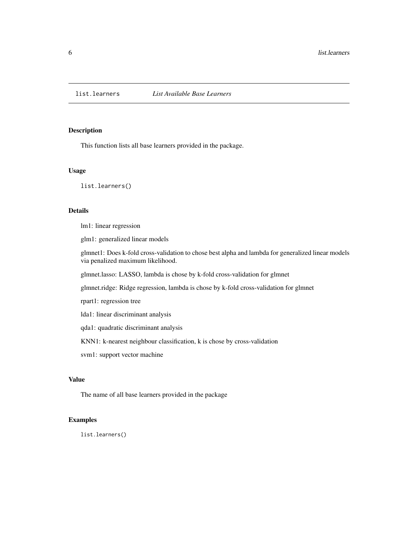<span id="page-5-0"></span>

#### Description

This function lists all base learners provided in the package.

#### Usage

list.learners()

#### Details

lm1: linear regression

glm1: generalized linear models

glmnet1: Does k-fold cross-validation to chose best alpha and lambda for generalized linear models via penalized maximum likelihood.

glmnet.lasso: LASSO, lambda is chose by k-fold cross-validation for glmnet

glmnet.ridge: Ridge regression, lambda is chose by k-fold cross-validation for glmnet

rpart1: regression tree

lda1: linear discriminant analysis

qda1: quadratic discriminant analysis

KNN1: k-nearest neighbour classification, k is chose by cross-validation

svm1: support vector machine

#### Value

The name of all base learners provided in the package

#### Examples

list.learners()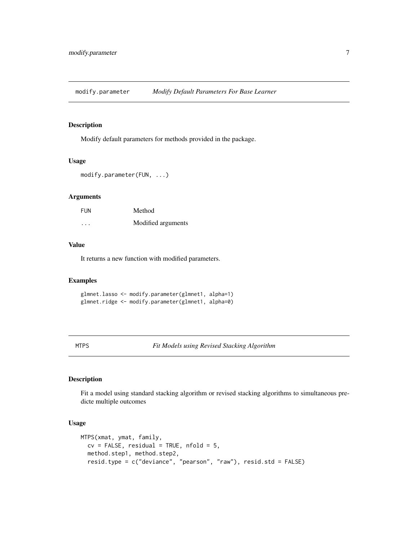<span id="page-6-0"></span>modify.parameter *Modify Default Parameters For Base Learner*

#### Description

Modify default parameters for methods provided in the package.

#### Usage

```
modify.parameter(FUN, ...)
```
#### Arguments

| FUN                  | Method             |
|----------------------|--------------------|
| $\ddot{\phantom{0}}$ | Modified arguments |

#### Value

It returns a new function with modified parameters.

#### Examples

glmnet.lasso <- modify.parameter(glmnet1, alpha=1) glmnet.ridge <- modify.parameter(glmnet1, alpha=0)

MTPS *Fit Models using Revised Stacking Algorithm*

#### Description

Fit a model using standard stacking algorithm or revised stacking algorithms to simultaneous predicte multiple outcomes

#### Usage

```
MTPS(xmat, ymat, family,
 cv = FALSE, residual = TRUE, nfold = 5,method.step1, method.step2,
  resid.type = c("deviance", "pearson", "raw"), resid.std = FALSE)
```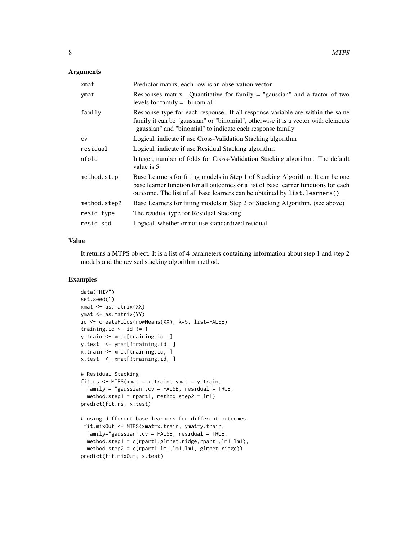#### Arguments

| xmat         | Predictor matrix, each row is an observation vector                                                                                                                                                                                                  |
|--------------|------------------------------------------------------------------------------------------------------------------------------------------------------------------------------------------------------------------------------------------------------|
| ymat         | Responses matrix. Quantitative for family $=$ "gaussian" and a factor of two<br>levels for family $=$ "binomial"                                                                                                                                     |
| family       | Response type for each response. If all response variable are within the same<br>family it can be "gaussian" or "binomial", otherwise it is a vector with elements<br>"gaussian" and "binomial" to indicate each response family                     |
| <b>CV</b>    | Logical, indicate if use Cross-Validation Stacking algorithm                                                                                                                                                                                         |
| residual     | Logical, indicate if use Residual Stacking algorithm                                                                                                                                                                                                 |
| nfold        | Integer, number of folds for Cross-Validation Stacking algorithm. The default<br>value is 5                                                                                                                                                          |
| method.step1 | Base Learners for fitting models in Step 1 of Stacking Algorithm. It can be one<br>base learner function for all outcomes or a list of base learner functions for each<br>outcome. The list of all base learners can be obtained by list. learners() |
| method.step2 | Base Learners for fitting models in Step 2 of Stacking Algorithm. (see above)                                                                                                                                                                        |
| resid.type   | The residual type for Residual Stacking                                                                                                                                                                                                              |
| resid.std    | Logical, whether or not use standardized residual                                                                                                                                                                                                    |

#### Value

It returns a MTPS object. It is a list of 4 parameters containing information about step 1 and step 2 models and the revised stacking algorithm method.

```
data("HIV")
set.seed(1)
xmat <- as.matrix(XX)
ymat <- as.matrix(YY)
id <- createFolds(rowMeans(XX), k=5, list=FALSE)
training.id \le id != 1
y.train <- ymat[training.id, ]
y.test <- ymat[!training.id, ]
x.train <- xmat[training.id, ]
x.test <- xmat[!training.id, ]
# Residual Stacking
fit.rs <- MTPS(xmat = x.train, ymat = y.train,
  family = "gaussian",cv = FALSE, residual = TRUE,
  method.step1 = rpart1, method.step2 = lm1)
predict(fit.rs, x.test)
# using different base learners for different outcomes
 fit.mixOut <- MTPS(xmat=x.train, ymat=y.train,
  family="gaussian", cv = FALSE, residual = TRUE,method.step1 = c(rpart1,glmnet.ridge,rpart1,lm1,lm1),
  method.step2 = c(rpart1,lm1,lm1,lm1, glmnet.ridge))
predict(fit.mixOut, x.test)
```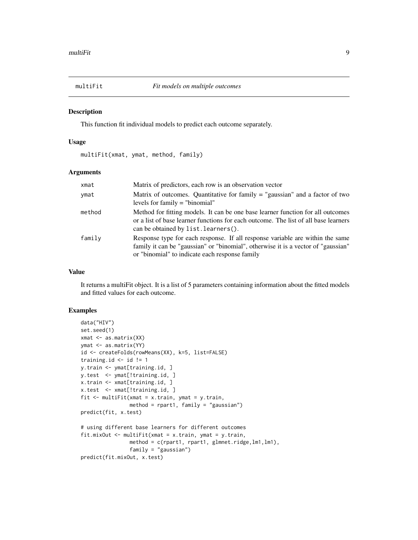<span id="page-8-0"></span>

#### Description

This function fit individual models to predict each outcome separately.

#### Usage

multiFit(xmat, ymat, method, family)

#### Arguments

| xmat   | Matrix of predictors, each row is an observation vector                                                                                                                                                              |
|--------|----------------------------------------------------------------------------------------------------------------------------------------------------------------------------------------------------------------------|
| ymat   | Matrix of outcomes. Quantitative for family $=$ "gaussian" and a factor of two<br>levels for family $=$ "binomial"                                                                                                   |
| method | Method for fitting models. It can be one base learner function for all outcomes<br>or a list of base learner functions for each outcome. The list of all base learners<br>can be obtained by list. learners().       |
| family | Response type for each response. If all response variable are within the same<br>family it can be "gaussian" or "binomial", otherwise it is a vector of "gaussian"<br>or "binomial" to indicate each response family |

#### Value

It returns a multiFit object. It is a list of 5 parameters containing information about the fitted models and fitted values for each outcome.

```
data("HIV")
set.seed(1)
xmat <- as.matrix(XX)
ymat <- as.matrix(YY)
id <- createFolds(rowMeans(XX), k=5, list=FALSE)
training.id \le id != 1
y.train <- ymat[training.id, ]
y.test <- ymat[!training.id, ]
x.train <- xmat[training.id, ]
x.test <- xmat[!training.id, ]
fit \leq multiFit(xmat = x.train, ymat = y.train,
                method = rpart1, family = "gaussian")
predict(fit, x.test)
# using different base learners for different outcomes
fit.mixOut <- multiFit(xmat = x.train, ymat = y.train,
                method = c(rpart1, rpart1, glmnet.ridge,lm1,lm1),
                family = "gaussian")
predict(fit.mixOut, x.test)
```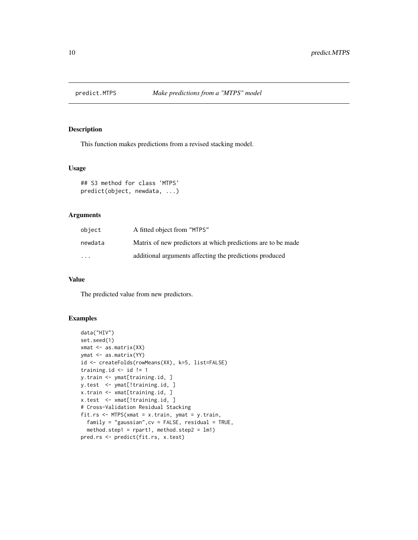<span id="page-9-0"></span>

#### Description

This function makes predictions from a revised stacking model.

#### Usage

```
## S3 method for class 'MTPS'
predict(object, newdata, ...)
```
#### Arguments

| object  | A fitted object from "MTPS"                                  |
|---------|--------------------------------------------------------------|
| newdata | Matrix of new predictors at which predictions are to be made |
| $\cdot$ | additional arguments affecting the predictions produced      |

#### Value

The predicted value from new predictors.

```
data("HIV")
set.seed(1)
xmat <- as.matrix(XX)
ymat <- as.matrix(YY)
id <- createFolds(rowMeans(XX), k=5, list=FALSE)
training.id \le id != 1
y.train <- ymat[training.id, ]
y.test <- ymat[!training.id, ]
x.train <- xmat[training.id, ]
x.test <- xmat[!training.id, ]
# Cross-Validation Residual Stacking
fit.rs <- MTPS(xmat = x.train, ymat = y.train,
  family = "gaussian",cv = FALSE, residual = TRUE,
  method.step1 = rpart1, method.step2 = lm1)
pred.rs <- predict(fit.rs, x.test)
```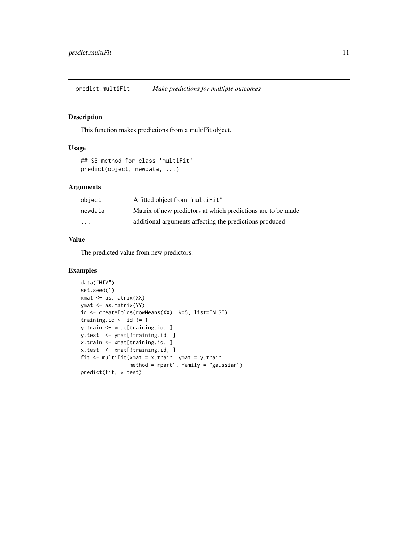<span id="page-10-0"></span>predict.multiFit *Make predictions for multiple outcomes*

#### Description

This function makes predictions from a multiFit object.

#### Usage

```
## S3 method for class 'multiFit'
predict(object, newdata, ...)
```
#### Arguments

| object  | A fitted object from "multiFit"                              |
|---------|--------------------------------------------------------------|
| newdata | Matrix of new predictors at which predictions are to be made |
| .       | additional arguments affecting the predictions produced      |

#### Value

The predicted value from new predictors.

```
data("HIV")
set.seed(1)
xmat <- as.matrix(XX)
ymat <- as.matrix(YY)
id <- createFolds(rowMeans(XX), k=5, list=FALSE)
training.id \leq id != 1
y.train <- ymat[training.id, ]
y.test <- ymat[!training.id, ]
x.train <- xmat[training.id, ]
x.test <- xmat[!training.id, ]
fit \leq multiFit(xmat = x.train, ymat = y.train,
                method = rpart1, family = "gaussian")predict(fit, x.test)
```